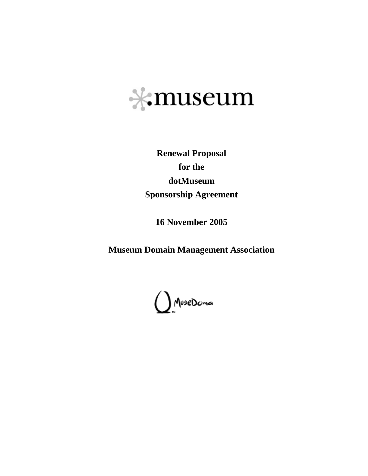

**Renewal Proposal for the dotMuseum Sponsorship Agreement** 

**16 November 2005** 

**Museum Domain Management Association** 

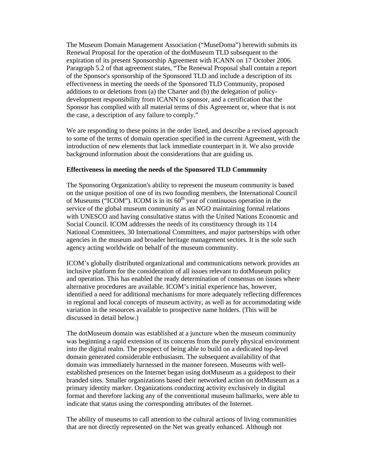The Museum Domain Management Association ("MuseDoma") herewith submits its Renewal Proposal for the operation of the dotMuseum TLD subsequent to the expiration of its present Sponsorship Agreement with ICANN on 17 October 2006. Paragraph 5.2 of that agreement states, "The Renewal Proposal shall contain a report of the Sponsor's sponsorship of the Sponsored TLD and include a description of its effectiveness in meeting the needs of the Sponsored TLD Community, proposed additions to or deletions from (a) the Charter and (b) the delegation of policydevelopment responsibility from ICANN to sponsor, and a certification that the Sponsor has complied with all material terms of this Agreement or, where that is not the case, a description of any failure to comply."

We are responding to these points in the order listed, and describe a revised approach to some of the terms of domain operation specified in the current Agreement, with the introduction of new elements that lack immediate counterpart in it. We also provide background information about the considerations that are guiding us.

#### **Effectiveness in meeting the needs of the Sponsored TLD Community**

The Sponsoring Organization's ability to represent the museum community is based on the unique position of one of its two founding members, the International Council of Museums ("ICOM"). ICOM is in its  $60<sup>th</sup>$  year of continuous operation in the service of the global museum community as an NGO maintaining formal relations with UNESCO and having consultative status with the United Nations Economic and Social Council. ICOM addresses the needs of its constituency through its 114 National Committees, 30 International Committees, and major partnerships with other agencies in the museum and broader heritage management sectors. It is the sole such agency acting worldwide on behalf of the museum community.

ICOM's globally distributed organizational and communications network provides an inclusive platform for the consideration of all issues relevant to dotMuseum policy and operation. This has enabled the ready determination of consensus on issues where alternative procedures are available. ICOM's initial experience has, however, identified a need for additional mechanisms for more adequately reflecting differences in regional and local concepts of museum activity, as well as for accommodating wide variation in the resources available to prospective name holders. (This will be discussed in detail below.)

The dotMuseum domain was established at a juncture when the museum community was beginning a rapid extension of its concerns from the purely physical environment into the digital realm. The prospect of being able to build on a dedicated top-level domain generated considerable enthusiasm. The subsequent availability of that domain was immediately harnessed in the manner foreseen. Museums with wellestablished presences on the Internet began using dotMuseum as a guidepost to their branded sites. Smaller organizations based their networked action on dotMuseum as a primary identity marker. Organizations conducting activity exclusively in digital format and therefore lacking any of the conventional museum hallmarks, were able to indicate that status using the corresponding attributes of the Internet.

The ability of museums to call attention to the cultural actions of living communities that are not directly represented on the Net was greatly enhanced. Although not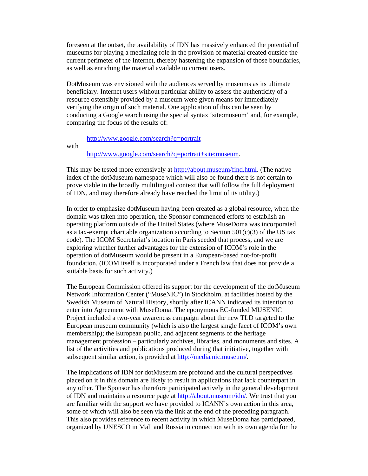foreseen at the outset, the availability of IDN has massively enhanced the potential of museums for playing a mediating role in the provision of material created outside the current perimeter of the Internet, thereby hastening the expansion of those boundaries, as well as enriching the material available to current users.

DotMuseum was envisioned with the audiences served by museums as its ultimate beneficiary. Internet users without particular ability to assess the authenticity of a resource ostensibly provided by a museum were given means for immediately verifying the origin of such material. One application of this can be seen by conducting a Google search using the special syntax 'site:museum' and, for example, comparing the focus of the results of:

http://www.google.com/search?q=portrait

with

http://www.google.com/search?q=portrait+site:museum.

This may be tested more extensively at http://about.museum/find.html. (The native index of the dotMuseum namespace which will also be found there is not certain to prove viable in the broadly multilingual context that will follow the full deployment of IDN, and may therefore already have reached the limit of its utility.)

In order to emphasize dotMuseum having been created as a global resource, when the domain was taken into operation, the Sponsor commenced efforts to establish an operating platform outside of the United States (where MuseDoma was incorporated as a tax-exempt charitable organization according to Section  $501(c)(3)$  of the US tax code). The ICOM Secretariat's location in Paris seeded that process, and we are exploring whether further advantages for the extension of ICOM's role in the operation of dotMuseum would be present in a European-based not-for-profit foundation. (ICOM itself is incorporated under a French law that does not provide a suitable basis for such activity.)

The European Commission offered its support for the development of the dotMuseum Network Information Center ("MuseNIC") in Stockholm, at facilities hosted by the Swedish Museum of Natural History, shortly after ICANN indicated its intention to enter into Agreement with MuseDoma. The eponymous EC-funded MUSENIC Project included a two-year awareness campaign about the new TLD targeted to the European museum community (which is also the largest single facet of ICOM's own membership); the European public, and adjacent segments of the heritage management profession – particularly archives, libraries, and monuments and sites. A list of the activities and publications produced during that initiative, together with subsequent similar action, is provided at http://media.nic.museum/.

The implications of IDN for dotMuseum are profound and the cultural perspectives placed on it in this domain are likely to result in applications that lack counterpart in any other. The Sponsor has therefore participated actively in the general development of IDN and maintains a resource page at http://about.museum/idn/. We trust that you are familiar with the support we have provided to ICANN's own action in this area, some of which will also be seen via the link at the end of the preceding paragraph. This also provides reference to recent activity in which MuseDoma has participated, organized by UNESCO in Mali and Russia in connection with its own agenda for the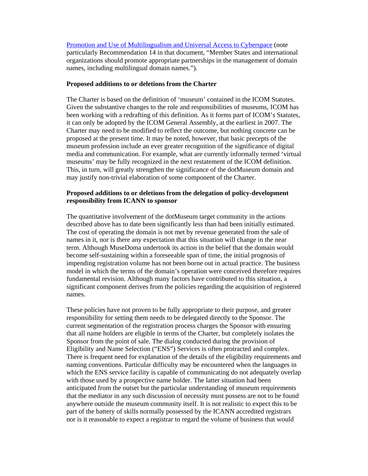Promotion and Use of Multilingualism and Universal Access to Cyberspace (note particularly Recommendation 14 in that document, "Member States and international organizations should promote appropriate partnerships in the management of domain names, including multilingual domain names.").

## **Proposed additions to or deletions from the Charter**

The Charter is based on the definition of 'museum' contained in the ICOM Statutes. Given the substantive changes to the role and responsibilities of museums, ICOM has been working with a redrafting of this definition. As it forms part of ICOM's Statutes, it can only be adopted by the ICOM General Assembly, at the earliest in 2007. The Charter may need to be modified to reflect the outcome, but nothing concrete can be proposed at the present time. It may be noted, however, that basic precepts of the museum profession include an ever greater recognition of the significance of digital media and communication. For example, what are currently informally termed 'virtual museums' may be fully recognized in the next restatement of the ICOM definition. This, in turn, will greatly strengthen the significance of the dotMuseum domain and may justify non-trivial elaboration of some component of the Charter.

# **Proposed additions to or deletions from the delegation of policy-development responsibility from ICANN to sponsor**

The quantitative involvement of the dotMuseum target community in the actions described above has to date been significantly less than had been initially estimated. The cost of operating the domain is not met by revenue generated from the sale of names in it, nor is there any expectation that this situation will change in the near term. Although MuseDoma undertook its action in the belief that the domain would become self-sustaining within a foreseeable span of time, the initial prognosis of impending registration volume has not been borne out in actual practice. The business model in which the terms of the domain's operation were conceived therefore requires fundamental revision. Although many factors have contributed to this situation, a significant component derives from the policies regarding the acquisition of registered names.

These policies have not proven to be fully appropriate to their purpose, and greater responsibility for setting them needs to be delegated directly to the Sponsor. The current segmentation of the registration process charges the Sponsor with ensuring that all name holders are eligible in terms of the Charter, but completely isolates the Sponsor from the point of sale. The dialog conducted during the provision of Eligibility and Name Selection ("ENS") Services is often protracted and complex. There is frequent need for explanation of the details of the eligibility requirements and naming conventions. Particular difficulty may be encountered when the languages in which the ENS service facility is capable of communicating do not adequately overlap with those used by a prospective name holder. The latter situation had been anticipated from the outset but the particular understanding of museum requirements that the mediator in any such discussion of necessity must possess are not to be found anywhere outside the museum community itself. It is not realistic to expect this to be part of the battery of skills normally possessed by the ICANN accredited registrars nor is it reasonable to expect a registrar to regard the volume of business that would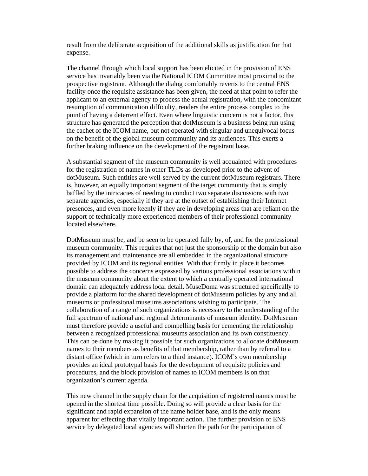result from the deliberate acquisition of the additional skills as justification for that expense.

The channel through which local support has been elicited in the provision of ENS service has invariably been via the National ICOM Committee most proximal to the prospective registrant. Although the dialog comfortably reverts to the central ENS facility once the requisite assistance has been given, the need at that point to refer the applicant to an external agency to process the actual registration, with the concomitant resumption of communication difficulty, renders the entire process complex to the point of having a deterrent effect. Even where linguistic concern is not a factor, this structure has generated the perception that dotMuseum is a business being run using the cachet of the ICOM name, but not operated with singular and unequivocal focus on the benefit of the global museum community and its audiences. This exerts a further braking influence on the development of the registrant base.

A substantial segment of the museum community is well acquainted with procedures for the registration of names in other TLDs as developed prior to the advent of dotMuseum. Such entities are well-served by the current dotMuseum registrars. There is, however, an equally important segment of the target community that is simply baffled by the intricacies of needing to conduct two separate discussions with two separate agencies, especially if they are at the outset of establishing their Internet presences, and even more keenly if they are in developing areas that are reliant on the support of technically more experienced members of their professional community located elsewhere.

DotMuseum must be, and be seen to be operated fully by, of, and for the professional museum community. This requires that not just the sponsorship of the domain but also its management and maintenance are all embedded in the organizational structure provided by ICOM and its regional entities. With that firmly in place it becomes possible to address the concerns expressed by various professional associations within the museum community about the extent to which a centrally operated international domain can adequately address local detail. MuseDoma was structured specifically to provide a platform for the shared development of dotMuseum policies by any and all museums or professional museums associations wishing to participate. The collaboration of a range of such organizations is necessary to the understanding of the full spectrum of national and regional determinants of museum identity. DotMuseum must therefore provide a useful and compelling basis for cementing the relationship between a recognized professional museums association and its own constituency. This can be done by making it possible for such organizations to allocate dotMuseum names to their members as benefits of that membership, rather than by referral to a distant office (which in turn refers to a third instance). ICOM's own membership provides an ideal prototypal basis for the development of requisite policies and procedures, and the block provision of names to ICOM members is on that organization's current agenda.

This new channel in the supply chain for the acquisition of registered names must be opened in the shortest time possible. Doing so will provide a clear basis for the significant and rapid expansion of the name holder base, and is the only means apparent for effecting that vitally important action. The further provision of ENS service by delegated local agencies will shorten the path for the participation of